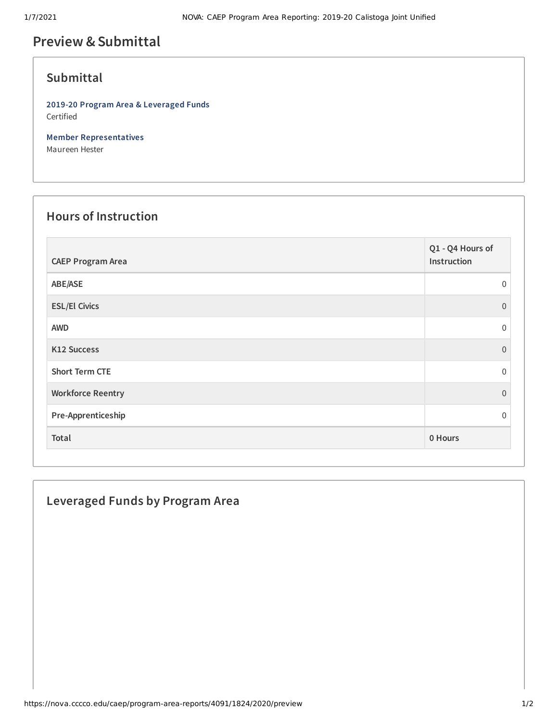# **Preview &Submittal**

## **Submittal**

**2019-20 Program Area & Leveraged Funds** Certified

**Member Representatives** Maureen Hester

#### **Hours of Instruction**

| <b>CAEP Program Area</b> | Q1 - Q4 Hours of<br>Instruction |
|--------------------------|---------------------------------|
| ABE/ASE                  | $\Omega$                        |
| <b>ESL/El Civics</b>     | $\Omega$                        |
| <b>AWD</b>               | $\Omega$                        |
| K12 Success              | $\Omega$                        |
| <b>Short Term CTE</b>    | $\Omega$                        |
| <b>Workforce Reentry</b> | $\Omega$                        |
| Pre-Apprenticeship       | $\Omega$                        |
| Total                    | 0 Hours                         |

## **Leveraged Funds by Program Area**